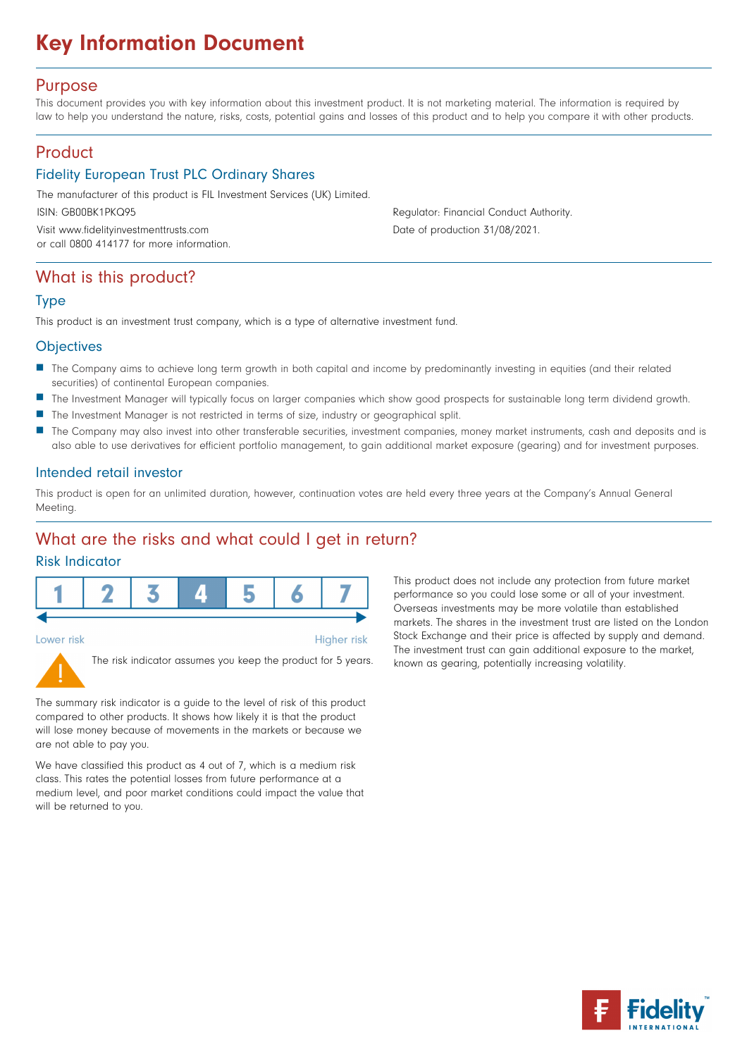# Key Information Document

### Purpose

This document provides you with key information about this investment product. It is not marketing material. The information is required by law to help you understand the nature, risks, costs, potential gains and losses of this product and to help you compare it with other products.

# Product

### Fidelity European Trust PLC Ordinary Shares

The manufacturer of this product is FIL Investment Services (UK) Limited.

Visit www.fidelityinvestmenttrusts.com Date of production 31/08/2021. or call 0800 414177 for more information.

ISIN: GB00BK1PKQ95 Regulator: Financial Conduct Authority.

## What is this product?

#### Type

This product is an investment trust company, which is a type of alternative investment fund.

#### **Objectives**

- n The Company aims to achieve long term growth in both capital and income by predominantly investing in equities (and their related securities) of continental European companies.
- n The Investment Manager will typically focus on larger companies which show good prospects for sustainable long term dividend growth.
- **n** The Investment Manager is not restricted in terms of size, industry or geographical split.
- n The Company may also invest into other transferable securities, investment companies, money market instruments, cash and deposits and is also able to use derivatives for efficient portfolio management, to gain additional market exposure (gearing) and for investment purposes.

#### Intended retail investor

This product is open for an unlimited duration, however, continuation votes are held every three years at the Company's Annual General Meeting.

**Higher risk** 

### What are the risks and what could I get in return?

### Risk Indicator



Lower risk



The risk indicator assumes you keep the product for 5 years.

The summary risk indicator is a guide to the level of risk of this product compared to other products. It shows how likely it is that the product will lose money because of movements in the markets or because we are not able to pay you.

We have classified this product as 4 out of 7, which is a medium risk class. This rates the potential losses from future performance at a medium level, and poor market conditions could impact the value that will be returned to you.

This product does not include any protection from future market performance so you could lose some or all of your investment. Overseas investments may be more volatile than established markets. The shares in the investment trust are listed on the London Stock Exchange and their price is affected by supply and demand. The investment trust can gain additional exposure to the market, known as gearing, potentially increasing volatility.

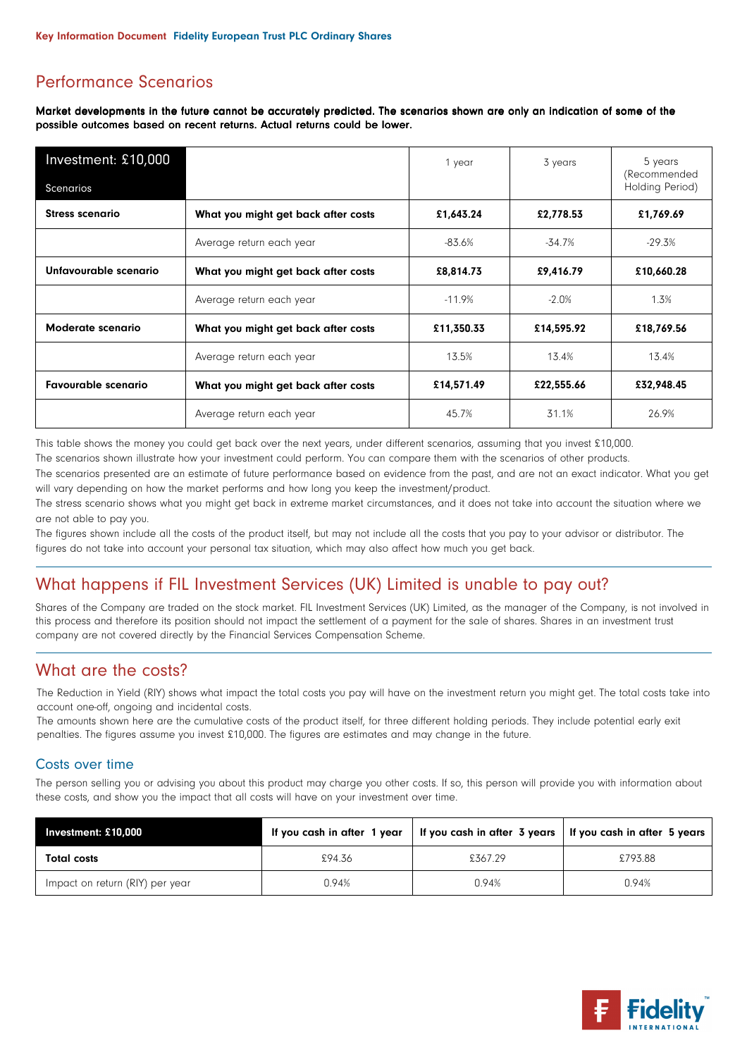# Performance Scenarios

Market developments in the future cannot be accurately predicted. The scenarios shown are only an indication of some of the possible outcomes based on recent returns. Actual returns could be lower.

| Investment: £10,000                                               | 1 year                              | 3 years    | 5 years<br>(Recommended |                 |
|-------------------------------------------------------------------|-------------------------------------|------------|-------------------------|-----------------|
| Scenarios                                                         |                                     |            |                         | Holding Period) |
| <b>Stress scenario</b>                                            | What you might get back after costs | £1,643.24  | £2,778.53               | £1,769.69       |
|                                                                   | Average return each year            | -83.6%     | -34.7%                  | $-29.3%$        |
| Unfavourable scenario                                             | What you might get back after costs |            | £9,416.79               | £10,660.28      |
|                                                                   | Average return each year            | $-11.9\%$  | $-2.0%$                 | 1.3%            |
| Moderate scenario<br>What you might get back after costs          |                                     | £11,350.33 | £14,595.92              | £18,769.56      |
|                                                                   | Average return each year            | 13.5%      | 13.4%                   | 13.4%           |
| <b>Favourable scenario</b><br>What you might get back after costs |                                     | £14,571.49 | £22,555.66              | £32,948.45      |
|                                                                   | Average return each year            | 45.7%      | 31.1%                   | 26.9%           |

This table shows the money you could get back over the next years, under different scenarios, assuming that you invest £10,000.

The scenarios shown illustrate how your investment could perform. You can compare them with the scenarios of other products.

The scenarios presented are an estimate of future performance based on evidence from the past, and are not an exact indicator. What you get will vary depending on how the market performs and how long you keep the investment/product.

The stress scenario shows what you might get back in extreme market circumstances, and it does not take into account the situation where we are not able to pay you.

The figures shown include all the costs of the product itself, but may not include all the costs that you pay to your advisor or distributor. The figures do not take into account your personal tax situation, which may also affect how much you get back.

# What happens if FIL Investment Services (UK) Limited is unable to pay out?

Shares of the Company are traded on the stock market. FIL Investment Services (UK) Limited, as the manager of the Company, is not involved in this process and therefore its position should not impact the settlement of a payment for the sale of shares. Shares in an investment trust company are not covered directly by the Financial Services Compensation Scheme.

# What are the costs?

The Reduction in Yield (RIY) shows what impact the total costs you pay will have on the investment return you might get. The total costs take into account one-off, ongoing and incidental costs.

The amounts shown here are the cumulative costs of the product itself, for three different holding periods. They include potential early exit penalties. The figures assume you invest £10,000. The figures are estimates and may change in the future.

### Costs over time

The person selling you or advising you about this product may charge you other costs. If so, this person will provide you with information about these costs, and show you the impact that all costs will have on your investment over time.

| Investment: £10,000             | If you cash in after 1 year |         | If you cash in after 3 years   If you cash in after 5 years |
|---------------------------------|-----------------------------|---------|-------------------------------------------------------------|
| <b>Total costs</b>              | £94.36                      | £367.29 | £793.88                                                     |
| Impact on return (RIY) per year | 0.94%                       | 0.94%   | 0.94%                                                       |